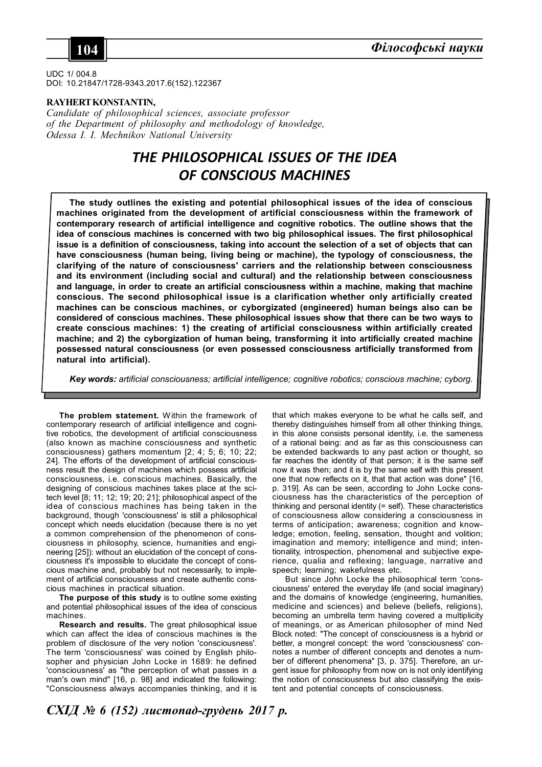

UDC 1/ 004.8 DOI: 10.21847/1728-9343.2017.6(152).122367

### **RAYHERT KONSTANTIN,**

*Candidate of philosophical sciences, associate professor of the Department of philosophy and methodology of knowledge, Odessa I. I. Mechnikov National University*

# *THE PHILOSOPHICAL ISSUES OF THE IDEA OF CONSCIOUS MACHINES*

**The study outlines the existing and potential philosophical issues of the idea of conscious machines originated from the development of artificial consciousness within the framework of contemporary research of artificial intelligence and cognitive robotics. The outline shows that the idea of conscious machines is concerned with two big philosophical issues. The first philosophical issue is a definition of consciousness, taking into account the selection of a set of objects that can have consciousness (human being, living being or machine), the typology of consciousness, the clarifying of the nature of consciousness' carriers and the relationship between consciousness and its environment (including social and cultural) and the relationship between consciousness and language, in order to create an artificial consciousness within a machine, making that machine conscious. The second philosophical issue is a clarification whether only artificially created machines can be conscious machines, or cyborgizated (engineered) human beings also can be considered of conscious machines. These philosophical issues show that there can be two ways to create conscious machines: 1) the creating of artificial consciousness within artificially created machine; and 2) the cyborgization of human being, transforming it into artificially created machine possessed natural consciousness (or even possessed consciousness artificially transformed from natural into artificial).**

*Key words: artificial consciousness; artificial intelligence; cognitive robotics; conscious machine; cyborg.*

**The problem statement.** Within the framework of contemporary research of artificial intelligence and cognitive robotics, the development of artificial consciousness (also known as machine consciousness and synthetic consciousness) gathers momentum [2; 4; 5; 6; 10; 22; 24]. The efforts of the development of artificial consciousness result the design of machines which possess artificial consciousness, i.e. conscious machines. Basically, the designing of conscious machines takes place at the scitech level [8; 11; 12; 19; 20; 21]; philosophical aspect of the idea of conscious machines has being taken in the background, though 'consciousness' is still a philosophical concept which needs elucidation (because there is no yet a common comprehension of the phenomenon of consciousness in philosophy, science, humanities and engineering [25]): without an elucidation of the concept of consciousness it's impossible to elucidate the concept of conscious machine and, probably but not necessarily, to implement of artificial consciousness and create authentic conscious machines in practical situation.

**The purpose of this study** is to outline some existing and potential philosophical issues of the idea of conscious machines.

**Research and results.** The great philosophical issue which can affect the idea of conscious machines is the problem of disclosure of the very notion 'consciousness'. The term 'consciousness' was coined by English philosopher and physician John Locke in 1689: he defined 'consciousness' as "the perception of what passes in a man's own mind" [16, p. 98] and indicated the following: "Consciousness always accompanies thinking, and it is

that which makes everyone to be what he calls self, and thereby distinguishes himself from all other thinking things, in this alone consists personal identity, i.e. the sameness of a rational being: and as far as this consciousness can be extended backwards to any past action or thought, so far reaches the identity of that person; it is the same self now it was then; and it is by the same self with this present one that now reflects on it, that that action was done" [16, p. 319]. As can be seen, according to John Locke consciousness has the characteristics of the perception of thinking and personal identity (= self). These characteristics of consciousness allow considering a consciousness in terms of anticipation; awareness; cognition and knowledge; emotion, feeling, sensation, thought and volition; imagination and memory; intelligence and mind; intentionality, introspection, phenomenal and subjective experience, qualia and reflexing; language, narrative and speech; learning; wakefulness etc.

But since John Locke the philosophical term 'consciousness' entered the everyday life (and social imaginary) and the domains of knowledge (engineering, humanities, medicine and sciences) and believe (beliefs, religions), becoming an umbrella term having covered a multiplicity of meanings, or as American philosopher of mind Ned Block noted: "The concept of consciousness is a hybrid or better, a mongrel concept: the word 'consciousness' connotes a number of different concepts and denotes a number of different phenomena" [3, p. 375]. Therefore, an urgent issue for philosophy from now on is not only identifying the notion of consciousness but also classifying the existent and potential concepts of consciousness.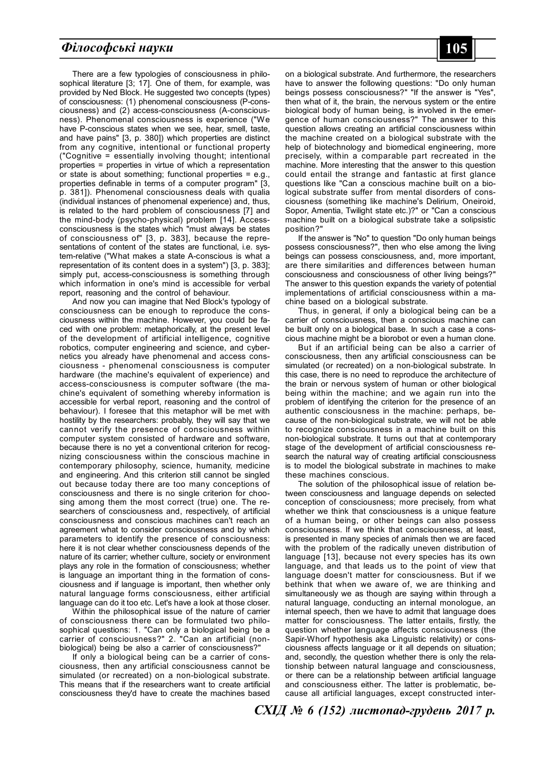## *Історичні науки* **105** *Філософські науки*

There are a few typologies of consciousness in philosophical literature [3; 17]. One of them, for example, was provided by Ned Block. He suggested two concepts (types) of consciousness: (1) phenomenal consciousness (P-consciousness) and (2) access-consciousness (A-consciousness). Phenomenal consciousness is experience ("We have P-conscious states when we see, hear, smell, taste, and have pains" [3, p. 380]) which properties are distinct from any cognitive, intentional or functional property ("Cognitive = essentially involving thought; intentional properties = properties in virtue of which a representation or state is about something; functional properties = e.g., properties definable in terms of a computer program" [3, p. 381]). Phenomenal consciousness deals with qualia (individual instances of phenomenal experience) and, thus, is related to the hard problem of consciousness [7] and the mind-body (psycho-physical) problem [14]. Accessconsciousness is the states which "must always be states of consciousness of" [3, p. 383], because the representations of content of the states are functional, i.e. system-relative ("What makes a state A-conscious is what a representation of its content does in a system") [3, p. 383]; simply put, access-consciousness is something through which information in one's mind is accessible for verbal report, reasoning and the control of behaviour.

And now you can imagine that Ned Block's typology of consciousness can be enough to reproduce the consciousness within the machine. However, you could be faced with one problem: metaphorically, at the present level of the development of artificial intelligence, cognitive robotics, computer engineering and science, and cybernetics you already have phenomenal and access consciousness - phenomenal consciousness is computer hardware (the machine's equivalent of experience) and access-consciousness is computer software (the machine's equivalent of something whereby information is accessible for verbal report, reasoning and the control of behaviour). I foresee that this metaphor will be met with hostility by the researchers: probably, they will say that we cannot verify the presence of consciousness within computer system consisted of hardware and software, because there is no yet a conventional criterion for recognizing consciousness within the conscious machine in contemporary philosophy, science, humanity, medicine and engineering. And this criterion still cannot be singled out because today there are too many conceptions of consciousness and there is no single criterion for choosing among them the most correct (true) one. The researchers of consciousness and, respectively, of artificial consciousness and conscious machines can't reach an agreement what to consider consciousness and by which parameters to identify the presence of consciousness: here it is not clear whether consciousness depends of the nature of its carrier; whether culture, society or environment plays any role in the formation of consciousness; whether is language an important thing in the formation of consciousness and if language is important, then whether only natural language forms consciousness, either artificial language can do it too etc. Let's have a look at those closer.

Within the philosophical issue of the nature of carrier of consciousness there can be formulated two philosophical questions: 1. "Can only a biological being be a carrier of consciousness?" 2. "Can an artificial (nonbiological) being be also a carrier of consciousness?"

If only a biological being can be a carrier of consciousness, then any artificial consciousness cannot be simulated (or recreated) on a non-biological substrate. This means that if the researchers want to create artificial consciousness they'd have to create the machines based on a biological substrate. And furthermore, the researchers have to answer the following questions: "Do only human beings possess consciousness?" "If the answer is "Yes", then what of it, the brain, the nervous system or the entire biological body of human being, is involved in the emergence of human consciousness?" The answer to this question allows creating an artificial consciousness within the machine created on a biological substrate with the help of biotechnology and biomedical engineering, more precisely, within a comparable part recreated in the machine. More interesting that the answer to this question could entail the strange and fantastic at first glance questions like "Can a conscious machine built on a biological substrate suffer from mental disorders of consciousness (something like machine's Delirium, Oneiroid, Sopor, Amentia, Twilight state etc.)?" or "Can a conscious machine built on a biological substrate take a solipsistic position?"

If the answer is "No" to question "Do only human beings possess consciousness?", then who else among the living beings can possess consciousness, and, more important, are there similarities and differences between human consciousness and consciousness of other living beings?" The answer to this question expands the variety of potential implementations of artificial consciousness within a machine based on a biological substrate.

Thus, in general, if only a biological being can be a carrier of consciousness, then a conscious machine can be built only on a biological base. In such a case a conscious machine might be a biorobot or even a human clone.

But if an artificial being can be also a carrier of consciousness, then any artificial consciousness can be simulated (or recreated) on a non-biological substrate. In this case, there is no need to reproduce the architecture of the brain or nervous system of human or other biological being within the machine; and we again run into the problem of identifying the criterion for the presence of an authentic consciousness in the machine: perhaps, because of the non-biological substrate, we will not be able to recognize consciousness in a machine built on this non-biological substrate. It turns out that at contemporary stage of the development of artificial consciousness research the natural way of creating artificial consciousness is to model the biological substrate in machines to make these machines conscious.

The solution of the philosophical issue of relation between consciousness and language depends on selected conception of consciousness; more precisely, from what whether we think that consciousness is a unique feature of a human being, or other beings can also possess consciousness. If we think that consciousness, at least, is presented in many species of animals then we are faced with the problem of the radically uneven distribution of language [13], because not every species has its own language, and that leads us to the point of view that language doesn't matter for consciousness. But if we bethink that when we aware of, we are thinking and simultaneously we as though are saying within through a natural language, conducting an internal monologue, an internal speech, then we have to admit that language does matter for consciousness. The latter entails, firstly, the question whether language affects consciousness (the Sapir-Whorf hypothesis aka Linguistic relativity) or consciousness affects language or it all depends on situation; and, secondly, the question whether there is only the relationship between natural language and consciousness, or there can be a relationship between artificial language and consciousness either. The latter is problematic, because all artificial languages, except constructed inter-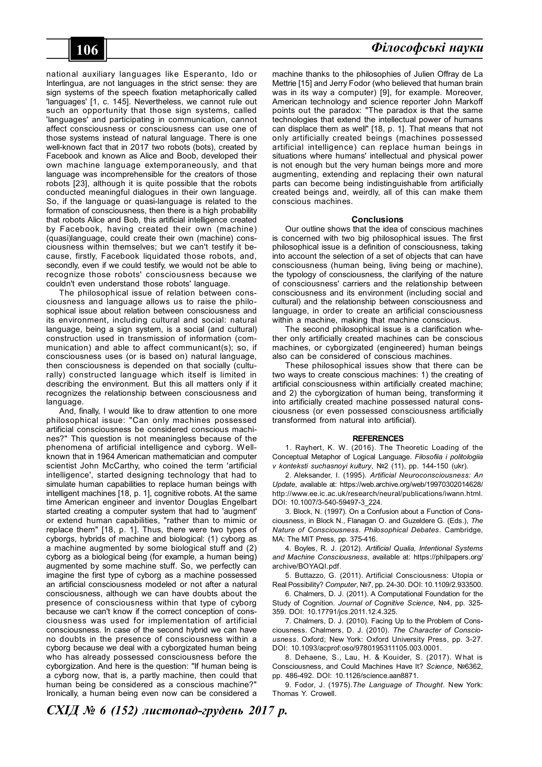national auxiliary languages like Esperanto, Ido or Interlingua, are not languages in the strict sense: they are sign systems of the speech fixation metaphorically called 'languages' [1, c. 145]. Nevertheless, we cannot rule out such an opportunity that those sign systems, called 'languages' and participating in communication, cannot affect consciousness or consciousness can use one of those systems instead of natural language. There is one well-known fact that in 2017 two robots (bots), created by Facebook and known as Alice and Boob, developed their own machine language extemporaneously, and that language was incomprehensible for the creators of those robots [23], although it is quite possible that the robots conducted meaningful dialogues in their own language. So, if the language or quasi-language is related to the formation of consciousness, then there is a high probability that robots Alice and Bob, this artificial intelligence created by Facebook, having created their own (machine) (quasi)language, could create their own (machine) consciousness within themselves; but we can't testify it because, firstly, Facebook liquidated those robots, and, secondly, even if we could testify, we would not be able to recognize those robots' consciousness because we couldn't even understand those robots' language.

The philosophical issue of relation between consciousness and language allows us to raise the philosophical issue about relation between consciousness and its environment, including cultural and social: natural language, being a sign system, is a social (and cultural) construction used in transmission of information (communication) and able to affect communicant(s); so, if consciousness uses (or is based on) natural language, then consciousness is depended on that socially (culturally) constructed language which itself is limited in describing the environment. But this all matters only if it recognizes the relationship between consciousness and language.

And, finally, I would like to draw attention to one more philosophical issue: "Can only machines possessed artificial consciousness be considered conscious machines?" This question is not meaningless because of the phenomena of artificial intelligence and cyborg. Wellknown that in 1964 American mathematician and computer scientist John McCarthy, who coined the term 'artificial intelligence', started designing technology that had to simulate human capabilities to replace human beings with intelligent machines [18, p. 1], cognitive robots. At the same time American engineer and inventor Douglas Engelbart started creating a computer system that had to 'augment' or extend human capabilities, "rather than to mimic or replace them" [18, p. 1]. Thus, there were two types of cyborgs, hybrids of machine and biological: (1) cyborg as a machine augmented by some biological stuff and (2) cyborg as a biological being (for example, a human being) augmented by some machine stuff. So, we perfectly can imagine the first type of cyborg as a machine possessed an artificial consciousness modeled or not after a natural consciousness, although we can have doubts about the presence of consciousness within that type of cyborg because we can't know if the correct conception of consciousness was used for implementation of artificial consciousness. In case of the second hybrid we can have no doubts in the presence of consciousness within a cyborg because we deal with a cyborgizated human being who has already possessed consciousness before the cyborgization. And here is the question: "If human being is a cyborg now, that is, a partly machine, then could that human being be considered as a conscious machine?" Ironically, a human being even now can be considered a

machine thanks to the philosophies of Julien Offray de La Mettrie [15] and Jerry Fodor (who believed that human brain was in its way a computer) [9], for example. Moreover, American technology and science reporter John Markoff points out the paradox: "The paradox is that the same technologies that extend the intellectual power of humans can displace them as well" [18, p. 1]. That means that not only artificially created beings (machines possessed artificial intelligence) can replace human beings in situations where humans' intellectual and physical power is not enough but the very human beings more and more augmenting, extending and replacing their own natural parts can become being indistinguishable from artificially created beings and, weirdly, all of this can make them conscious machines.

#### **Conclusions**

Our outline shows that the idea of conscious machines is concerned with two big philosophical issues. The first philosophical issue is a definition of consciousness, taking into account the selection of a set of objects that can have consciousness (human being, living being or machine), the typology of consciousness, the clarifying of the nature of consciousness' carriers and the relationship between consciousness and its environment (including social and cultural) and the relationship between consciousness and language, in order to create an artificial consciousness within a machine, making that machine conscious.

The second philosophical issue is a clarification whether only artificially created machines can be conscious machines, or cyborgizated (engineered) human beings also can be considered of conscious machines.

These philosophical issues show that there can be two ways to create conscious machines: 1) the creating of artificial consciousness within artificially created machine; and 2) the cyborgization of human being, transforming it into artificially created machine possessed natural consciousness (or even possessed consciousness artificially transformed from natural into artificial).

#### **REFERENCES**

1. Rayhert, K. W. (2016). The Theoretic Loading of the Conceptual Metaphor of Logical Language. *Filosofiia i politologiia v konteksti suchasnoyi kultury*, №2 (11), pp. 144-150 (ukr).

2. Aleksander, I. (1995). *Artificial Neuroconsciousness: An Update*, available at: https://web.archive.org/web/19970302014628/ http://www.ee.ic.ac.uk/research/neural/publications/iwann.html. DOI: 10.1007/3-540-59497-3\_224.

3. Block, N. (1997). On a Confusion about a Function of Consciousness, in Block N., Flanagan O. and Guzeldere G. (Eds.), *The Nature of Consciousness. Philosophical Debates*. Cambridge, MA: The MIT Press, pp. 375-416.

4. Boyles, R. J. (2012). *Artificial Qualia, Intentional Systems and Machine Consciousness*, available at: https://philpapers.org/ archive/BOYAQI.pdf.

5. Buttazzo, G. (2011). Artificial Consciousness: Utopia or Real Possibility? *Computer*, №7, pp. 24-30. DOI: 10.1109/2.933500.

6. Chalmers, D. J. (2011). A Computational Foundation for the Study of Cognition. *Journal of Cognitive Science*, №4, pp. 325- 359. DOI: 10.17791/jcs.2011.12.4.325.

7. Chalmers, D. J. (2010). Facing Up to the Problem of Consciousness. Chalmers, D. J. (2010). *The Character of Consciousness*. Oxford; New York: Oxford University Press, pp. 3-27. DOI: 10.1093/acprof:oso/9780195311105.003.0001.

8. Dehaene, S., Lau, H. & Kouider, S. (2017). W hat is Consciousness, and Could Machines Have It? *Science*, №6362, pp. 486-492. DOI: 10.1126/science.aan8871.

9. Fodor, J. (1975).*The Language of Thought*. New York: Thomas Y. Crowell.